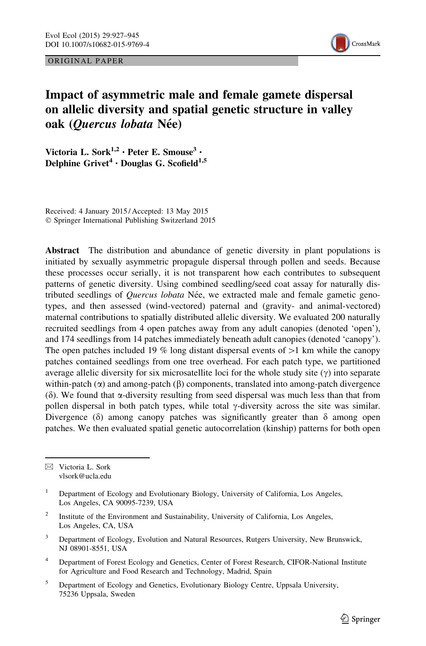ORIGINAL PAPER



# Impact of asymmetric male and female gamete dispersal on allelic diversity and spatial genetic structure in valley oak (Ouercus lobata Née)

Victoria L. Sork<sup>1,2</sup> · Peter E. Smouse<sup>3</sup> · Delphine Grivet<sup>4</sup> · Douglas G. Scofield<sup>1,5</sup>

Received: 4 January 2015 / Accepted: 13 May 2015 - Springer International Publishing Switzerland 2015

Abstract The distribution and abundance of genetic diversity in plant populations is initiated by sexually asymmetric propagule dispersal through pollen and seeds. Because these processes occur serially, it is not transparent how each contributes to subsequent patterns of genetic diversity. Using combined seedling/seed coat assay for naturally distributed seedlings of *Ouercus lobata* Née, we extracted male and female gametic genotypes, and then assessed (wind-vectored) paternal and (gravity- and animal-vectored) maternal contributions to spatially distributed allelic diversity. We evaluated 200 naturally recruited seedlings from 4 open patches away from any adult canopies (denoted 'open'), and 174 seedlings from 14 patches immediately beneath adult canopies (denoted 'canopy'). The open patches included 19 % long distant dispersal events of  $>1$  km while the canopy patches contained seedlings from one tree overhead. For each patch type, we partitioned average allelic diversity for six microsatellite loci for the whole study site  $(\gamma)$  into separate within-patch  $(\alpha)$  and among-patch  $(\beta)$  components, translated into among-patch divergence  $(\delta)$ . We found that  $\alpha$ -diversity resulting from seed dispersal was much less than that from pollen dispersal in both patch types, while total  $\gamma$ -diversity across the site was similar. Divergence ( $\delta$ ) among canopy patches was significantly greater than  $\delta$  among open patches. We then evaluated spatial genetic autocorrelation (kinship) patterns for both open

 $\boxtimes$  Victoria L. Sork vlsork@ucla.edu

<sup>&</sup>lt;sup>1</sup> Department of Ecology and Evolutionary Biology, University of California, Los Angeles, Los Angeles, CA 90095-7239, USA

<sup>&</sup>lt;sup>2</sup> Institute of the Environment and Sustainability, University of California, Los Angeles, Los Angeles, CA, USA

<sup>&</sup>lt;sup>3</sup> Department of Ecology, Evolution and Natural Resources, Rutgers University, New Brunswick, NJ 08901-8551, USA

<sup>4</sup> Department of Forest Ecology and Genetics, Center of Forest Research, CIFOR-National Institute for Agriculture and Food Research and Technology, Madrid, Spain

<sup>&</sup>lt;sup>5</sup> Department of Ecology and Genetics, Evolutionary Biology Centre, Uppsala University, 75236 Uppsala, Sweden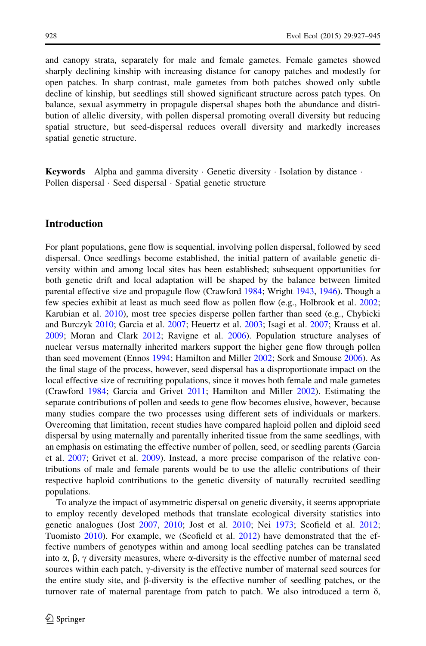and canopy strata, separately for male and female gametes. Female gametes showed sharply declining kinship with increasing distance for canopy patches and modestly for open patches. In sharp contrast, male gametes from both patches showed only subtle decline of kinship, but seedlings still showed significant structure across patch types. On balance, sexual asymmetry in propagule dispersal shapes both the abundance and distribution of allelic diversity, with pollen dispersal promoting overall diversity but reducing spatial structure, but seed-dispersal reduces overall diversity and markedly increases spatial genetic structure.

Keywords Alpha and gamma diversity · Genetic diversity · Isolation by distance · Pollen dispersal - Seed dispersal - Spatial genetic structure

# Introduction

For plant populations, gene flow is sequential, involving pollen dispersal, followed by seed dispersal. Once seedlings become established, the initial pattern of available genetic diversity within and among local sites has been established; subsequent opportunities for both genetic drift and local adaptation will be shaped by the balance between limited parental effective size and propagule flow (Crawford [1984;](#page-16-0) Wright [1943](#page-18-0), [1946](#page-18-0)). Though a few species exhibit at least as much seed flow as pollen flow (e.g., Holbrook et al. [2002;](#page-17-0) Karubian et al. [2010\)](#page-17-0), most tree species disperse pollen farther than seed (e.g., Chybicki and Burczyk [2010](#page-16-0); Garcia et al. [2007;](#page-16-0) Heuertz et al. [2003](#page-17-0); Isagi et al. [2007;](#page-17-0) Krauss et al. [2009;](#page-17-0) Moran and Clark [2012;](#page-17-0) Ravigne et al. [2006](#page-17-0)). Population structure analyses of nuclear versus maternally inherited markers support the higher gene flow through pollen than seed movement (Ennos [1994;](#page-16-0) Hamilton and Miller [2002;](#page-16-0) Sork and Smouse [2006](#page-18-0)). As the final stage of the process, however, seed dispersal has a disproportionate impact on the local effective size of recruiting populations, since it moves both female and male gametes (Crawford [1984;](#page-16-0) Garcia and Grivet [2011](#page-16-0); Hamilton and Miller [2002](#page-16-0)). Estimating the separate contributions of pollen and seeds to gene flow becomes elusive, however, because many studies compare the two processes using different sets of individuals or markers. Overcoming that limitation, recent studies have compared haploid pollen and diploid seed dispersal by using maternally and parentally inherited tissue from the same seedlings, with an emphasis on estimating the effective number of pollen, seed, or seedling parents (Garcia et al. [2007](#page-16-0); Grivet et al. [2009](#page-16-0)). Instead, a more precise comparison of the relative contributions of male and female parents would be to use the allelic contributions of their respective haploid contributions to the genetic diversity of naturally recruited seedling populations.

To analyze the impact of asymmetric dispersal on genetic diversity, it seems appropriate to employ recently developed methods that translate ecological diversity statistics into genetic analogues (Jost [2007](#page-17-0), [2010](#page-17-0); Jost et al. [2010;](#page-17-0) Nei [1973](#page-17-0); Scofield et al. [2012;](#page-17-0) Tuomisto [2010\)](#page-18-0). For example, we (Scofield et al. [2012](#page-17-0)) have demonstrated that the effective numbers of genotypes within and among local seedling patches can be translated into  $\alpha$ ,  $\beta$ ,  $\gamma$  diversity measures, where  $\alpha$ -diversity is the effective number of maternal seed sources within each patch,  $\gamma$ -diversity is the effective number of maternal seed sources for the entire study site, and  $\beta$ -diversity is the effective number of seedling patches, or the turnover rate of maternal parentage from patch to patch. We also introduced a term  $\delta$ ,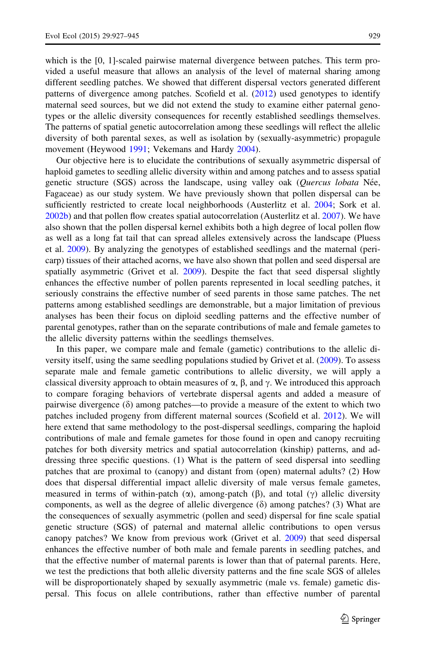which is the [0, 1]-scaled pairwise maternal divergence between patches. This term provided a useful measure that allows an analysis of the level of maternal sharing among different seedling patches. We showed that different dispersal vectors generated different patterns of divergence among patches. Scofield et al. ([2012\)](#page-17-0) used genotypes to identify maternal seed sources, but we did not extend the study to examine either paternal genotypes or the allelic diversity consequences for recently established seedlings themselves. The patterns of spatial genetic autocorrelation among these seedlings will reflect the allelic diversity of both parental sexes, as well as isolation by (sexually-asymmetric) propagule movement (Heywood [1991;](#page-17-0) Vekemans and Hardy [2004\)](#page-18-0).

Our objective here is to elucidate the contributions of sexually asymmetric dispersal of haploid gametes to seedling allelic diversity within and among patches and to assess spatial genetic structure (SGS) across the landscape, using valley oak (*Quercus lobata* Née, Fagaceae) as our study system. We have previously shown that pollen dispersal can be sufficiently restricted to create local neighborhoods (Austerlitz et al. [2004](#page-16-0); Sork et al. [2002b](#page-18-0)) and that pollen flow creates spatial autocorrelation (Austerlitz et al. [2007](#page-16-0)). We have also shown that the pollen dispersal kernel exhibits both a high degree of local pollen flow as well as a long fat tail that can spread alleles extensively across the landscape (Pluess et al. [2009](#page-17-0)). By analyzing the genotypes of established seedlings and the maternal (pericarp) tissues of their attached acorns, we have also shown that pollen and seed dispersal are spatially asymmetric (Grivet et al. [2009\)](#page-16-0). Despite the fact that seed dispersal slightly enhances the effective number of pollen parents represented in local seedling patches, it seriously constrains the effective number of seed parents in those same patches. The net patterns among established seedlings are demonstrable, but a major limitation of previous analyses has been their focus on diploid seedling patterns and the effective number of parental genotypes, rather than on the separate contributions of male and female gametes to the allelic diversity patterns within the seedlings themselves.

In this paper, we compare male and female (gametic) contributions to the allelic diversity itself, using the same seedling populations studied by Grivet et al. ([2009\)](#page-16-0). To assess separate male and female gametic contributions to allelic diversity, we will apply a classical diversity approach to obtain measures of  $\alpha$ ,  $\beta$ , and  $\gamma$ . We introduced this approach to compare foraging behaviors of vertebrate dispersal agents and added a measure of pairwise divergence  $(\delta)$  among patches—to provide a measure of the extent to which two patches included progeny from different maternal sources (Scofield et al. [2012\)](#page-17-0). We will here extend that same methodology to the post-dispersal seedlings, comparing the haploid contributions of male and female gametes for those found in open and canopy recruiting patches for both diversity metrics and spatial autocorrelation (kinship) patterns, and addressing three specific questions. (1) What is the pattern of seed dispersal into seedling patches that are proximal to (canopy) and distant from (open) maternal adults? (2) How does that dispersal differential impact allelic diversity of male versus female gametes, measured in terms of within-patch  $(\alpha)$ , among-patch  $(\beta)$ , and total  $(\gamma)$  allelic diversity components, as well as the degree of allelic divergence  $(\delta)$  among patches? (3) What are the consequences of sexually asymmetric (pollen and seed) dispersal for fine scale spatial genetic structure (SGS) of paternal and maternal allelic contributions to open versus canopy patches? We know from previous work (Grivet et al. [2009\)](#page-16-0) that seed dispersal enhances the effective number of both male and female parents in seedling patches, and that the effective number of maternal parents is lower than that of paternal parents. Here, we test the predictions that both allelic diversity patterns and the fine scale SGS of alleles will be disproportionately shaped by sexually asymmetric (male vs. female) gametic dispersal. This focus on allele contributions, rather than effective number of parental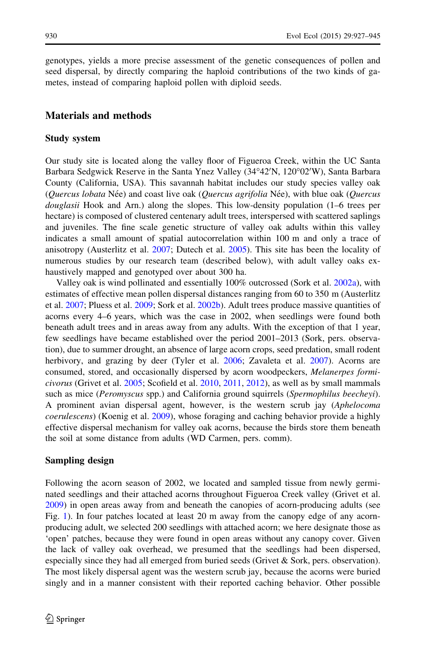genotypes, yields a more precise assessment of the genetic consequences of pollen and seed dispersal, by directly comparing the haploid contributions of the two kinds of gametes, instead of comparing haploid pollen with diploid seeds.

# Materials and methods

#### Study system

Our study site is located along the valley floor of Figueroa Creek, within the UC Santa Barbara Sedgwick Reserve in the Santa Ynez Valley (34°42'N, 120°02'W), Santa Barbara County (California, USA). This savannah habitat includes our study species valley oak (Quercus lobata Née) and coast live oak (Quercus agrifolia Née), with blue oak (Quercus douglasii Hook and Arn.) along the slopes. This low-density population (1–6 trees per hectare) is composed of clustered centenary adult trees, interspersed with scattered saplings and juveniles. The fine scale genetic structure of valley oak adults within this valley indicates a small amount of spatial autocorrelation within 100 m and only a trace of anisotropy (Austerlitz et al. [2007;](#page-16-0) Dutech et al. [2005\)](#page-16-0). This site has been the locality of numerous studies by our research team (described below), with adult valley oaks exhaustively mapped and genotyped over about 300 ha.

Valley oak is wind pollinated and essentially 100% outcrossed (Sork et al. [2002a\)](#page-18-0), with estimates of effective mean pollen dispersal distances ranging from 60 to 350 m (Austerlitz et al. [2007;](#page-16-0) Pluess et al. [2009;](#page-17-0) Sork et al. [2002b\)](#page-18-0). Adult trees produce massive quantities of acorns every 4–6 years, which was the case in 2002, when seedlings were found both beneath adult trees and in areas away from any adults. With the exception of that 1 year, few seedlings have became established over the period 2001–2013 (Sork, pers. observation), due to summer drought, an absence of large acorn crops, seed predation, small rodent herbivory, and grazing by deer (Tyler et al. [2006;](#page-18-0) Zavaleta et al. [2007\)](#page-18-0). Acorns are consumed, stored, and occasionally dispersed by acorn woodpeckers, Melanerpes formicivorus (Grivet et al. [2005](#page-16-0); Scofield et al. [2010,](#page-17-0) [2011](#page-17-0), [2012](#page-17-0)), as well as by small mammals such as mice (Peromyscus spp.) and California ground squirrels (Spermophilus beecheyi). A prominent avian dispersal agent, however, is the western scrub jay (Aphelocoma coerulescens) (Koenig et al. [2009\)](#page-17-0), whose foraging and caching behavior provide a highly effective dispersal mechanism for valley oak acorns, because the birds store them beneath the soil at some distance from adults (WD Carmen, pers. comm).

### Sampling design

Following the acorn season of 2002, we located and sampled tissue from newly germinated seedlings and their attached acorns throughout Figueroa Creek valley (Grivet et al. [2009\)](#page-16-0) in open areas away from and beneath the canopies of acorn-producing adults (see Fig. [1\)](#page-4-0). In four patches located at least 20 m away from the canopy edge of any acornproducing adult, we selected 200 seedlings with attached acorn; we here designate those as 'open' patches, because they were found in open areas without any canopy cover. Given the lack of valley oak overhead, we presumed that the seedlings had been dispersed, especially since they had all emerged from buried seeds (Grivet & Sork, pers. observation). The most likely dispersal agent was the western scrub jay, because the acorns were buried singly and in a manner consistent with their reported caching behavior. Other possible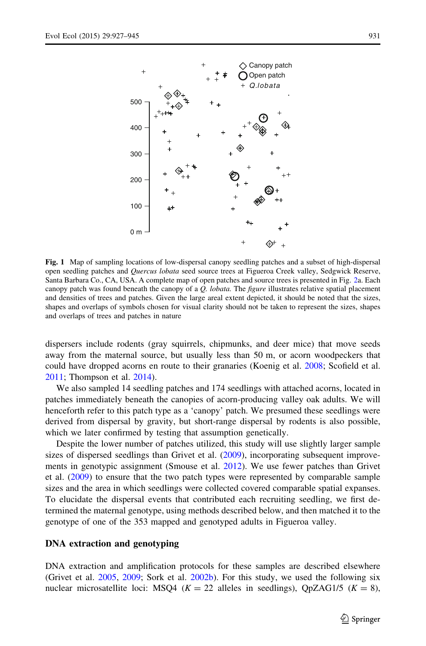<span id="page-4-0"></span>

Fig. 1 Map of sampling locations of low-dispersal canopy seedling patches and a subset of high-dispersal open seedling patches and Quercus lobata seed source trees at Figueroa Creek valley, Sedgwick Reserve, Santa Barbara Co., CA, USA. A complete map of open patches and source trees is presented in Fig. [2](#page-10-0)a. Each canopy patch was found beneath the canopy of a Q. lobata. The figure illustrates relative spatial placement and densities of trees and patches. Given the large areal extent depicted, it should be noted that the sizes, shapes and overlaps of symbols chosen for visual clarity should not be taken to represent the sizes, shapes and overlaps of trees and patches in nature

dispersers include rodents (gray squirrels, chipmunks, and deer mice) that move seeds away from the maternal source, but usually less than 50 m, or acorn woodpeckers that could have dropped acorns en route to their granaries (Koenig et al. [2008](#page-17-0); Scofield et al. [2011;](#page-17-0) Thompson et al. [2014\)](#page-18-0).

We also sampled 14 seedling patches and 174 seedlings with attached acorns, located in patches immediately beneath the canopies of acorn-producing valley oak adults. We will henceforth refer to this patch type as a 'canopy' patch. We presumed these seedlings were derived from dispersal by gravity, but short-range dispersal by rodents is also possible, which we later confirmed by testing that assumption genetically.

Despite the lower number of patches utilized, this study will use slightly larger sample sizes of dispersed seedlings than Grivet et al. [\(2009](#page-16-0)), incorporating subsequent improvements in genotypic assignment (Smouse et al. [2012\)](#page-18-0). We use fewer patches than Grivet et al. [\(2009\)](#page-16-0) to ensure that the two patch types were represented by comparable sample sizes and the area in which seedlings were collected covered comparable spatial expanses. To elucidate the dispersal events that contributed each recruiting seedling, we first determined the maternal genotype, using methods described below, and then matched it to the genotype of one of the 353 mapped and genotyped adults in Figueroa valley.

### DNA extraction and genotyping

DNA extraction and amplification protocols for these samples are described elsewhere (Grivet et al. [2005](#page-16-0), [2009](#page-16-0); Sork et al. [2002b](#page-18-0)). For this study, we used the following six nuclear microsatellite loci: MSQ4 ( $K = 22$  alleles in seedlings), QpZAG1/5 ( $K = 8$ ),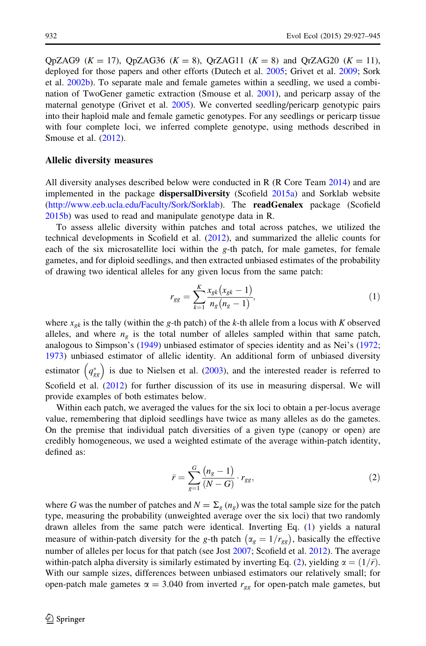<span id="page-5-0"></span>QpZAG9 ( $K = 17$ ), QpZAG36 ( $K = 8$ ), QrZAG11 ( $K = 8$ ) and QrZAG20 ( $K = 11$ ), deployed for those papers and other efforts (Dutech et al. [2005;](#page-16-0) Grivet et al. [2009;](#page-16-0) Sork et al. [2002b\)](#page-18-0). To separate male and female gametes within a seedling, we used a combination of TwoGener gametic extraction (Smouse et al. [2001](#page-18-0)), and pericarp assay of the maternal genotype (Grivet et al. [2005](#page-16-0)). We converted seedling/pericarp genotypic pairs into their haploid male and female gametic genotypes. For any seedlings or pericarp tissue with four complete loci, we inferred complete genotype, using methods described in Smouse et al. ([2012](#page-18-0)).

#### Allelic diversity measures

All diversity analyses described below were conducted in R (R Core Team [2014](#page-17-0)) and are implemented in the package dispersalDiversity (Scofield [2015a\)](#page-17-0) and Sorklab website ([http://www.eeb.ucla.edu/Faculty/Sork/Sorklab\)](http://www.eeb.ucla.edu/Faculty/Sork/Sorklab). The readGenalex package (Scofield [2015b](#page-17-0)) was used to read and manipulate genotype data in R.

To assess allelic diversity within patches and total across patches, we utilized the technical developments in Scofield et al. [\(2012](#page-17-0)), and summarized the allelic counts for each of the six microsatellite loci within the g-th patch, for male gametes, for female gametes, and for diploid seedlings, and then extracted unbiased estimates of the probability of drawing two identical alleles for any given locus from the same patch:

$$
r_{gg} = \sum_{k=1}^{K} \frac{x_{gk} (x_{gk} - 1)}{n_g (n_g - 1)},
$$
\n(1)

where  $x_{gk}$  is the tally (within the g-th patch) of the k-th allele from a locus with K observed alleles, and where  $n_e$  is the total number of alleles sampled within that same patch, analogous to Simpson's [\(1949](#page-18-0)) unbiased estimator of species identity and as Nei's [\(1972;](#page-17-0) [1973\)](#page-17-0) unbiased estimator of allelic identity. An additional form of unbiased diversity estimator  $\left(q_{gg}^{*}\right)$  is due to Nielsen et al. ([2003](#page-17-0)), and the interested reader is referred to Scofield et al. [\(2012](#page-17-0)) for further discussion of its use in measuring dispersal. We will provide examples of both estimates below.

Within each patch, we averaged the values for the six loci to obtain a per-locus average value, remembering that diploid seedlings have twice as many alleles as do the gametes. On the premise that individual patch diversities of a given type (canopy or open) are credibly homogeneous, we used a weighted estimate of the average within-patch identity, defined as:

$$
\bar{r} = \sum_{g=1}^{G} \frac{(n_g - 1)}{(N - G)} \cdot r_{gg},\tag{2}
$$

where G was the number of patches and  $N = \sum_g (n_g)$  was the total sample size for the patch type, measuring the probability (unweighted average over the six loci) that two randomly drawn alleles from the same patch were identical. Inverting Eq. (1) yields a natural measure of within-patch diversity for the g-th patch  $(\alpha_g = 1/r_{gg})$ , basically the effective number of alleles per locus for that patch (see Jost [2007](#page-17-0); Scofield et al. [2012\)](#page-17-0). The average within-patch alpha diversity is similarly estimated by inverting Eq. (2), yielding  $\alpha = (1/\bar{r})$ . With our sample sizes, differences between unbiased estimators our relatively small; for open-patch male gametes  $\alpha = 3.040$  from inverted  $r_{gg}$  for open-patch male gametes, but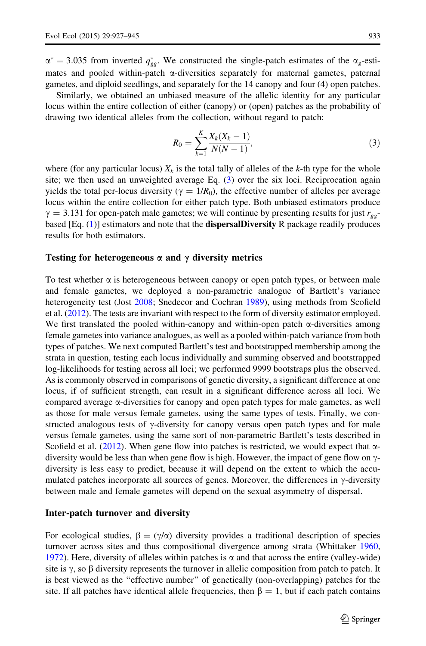<span id="page-6-0"></span> $\alpha^* = 3.035$  from inverted  $q_{gg}^*$ . We constructed the single-patch estimates of the  $\alpha_g$ -estimates and pooled within-patch  $\alpha$ -diversities separately for maternal gametes, paternal gametes, and diploid seedlings, and separately for the 14 canopy and four (4) open patches.

Similarly, we obtained an unbiased measure of the allelic identity for any particular locus within the entire collection of either (canopy) or (open) patches as the probability of drawing two identical alleles from the collection, without regard to patch:

$$
R_0 = \sum_{k=1}^{K} \frac{X_k(X_k - 1)}{N(N - 1)},
$$
\n(3)

where (for any particular locus)  $X_k$  is the total tally of alleles of the k-th type for the whole site; we then used an unweighted average Eq. (3) over the six loci. Reciprocation again yields the total per-locus diversity ( $\gamma = 1/R_0$ ), the effective number of alleles per average locus within the entire collection for either patch type. Both unbiased estimators produce  $\gamma = 3.131$  for open-patch male gametes; we will continue by presenting results for just  $r_{gg}$ based  $[Eq. (1)]$  $[Eq. (1)]$  $[Eq. (1)]$  estimators and note that the **dispersalDiversity** R package readily produces results for both estimators.

#### Testing for heterogeneous  $\alpha$  and  $\gamma$  diversity metrics

To test whether  $\alpha$  is heterogeneous between canopy or open patch types, or between male and female gametes, we deployed a non-parametric analogue of Bartlett's variance heterogeneity test (Jost [2008;](#page-17-0) Snedecor and Cochran [1989\)](#page-18-0), using methods from Scofield et al. ([2012\)](#page-17-0). The tests are invariant with respect to the form of diversity estimator employed. We first translated the pooled within-canopy and within-open patch  $\alpha$ -diversities among female gametes into variance analogues, as well as a pooled within-patch variance from both types of patches. We next computed Bartlett's test and bootstrapped membership among the strata in question, testing each locus individually and summing observed and bootstrapped log-likelihoods for testing across all loci; we performed 9999 bootstraps plus the observed. As is commonly observed in comparisons of genetic diversity, a significant difference at one locus, if of sufficient strength, can result in a significant difference across all loci. We compared average a-diversities for canopy and open patch types for male gametes, as well as those for male versus female gametes, using the same types of tests. Finally, we constructed analogous tests of  $\gamma$ -diversity for canopy versus open patch types and for male versus female gametes, using the same sort of non-parametric Bartlett's tests described in Scofield et al. ([2012\)](#page-17-0). When gene flow into patches is restricted, we would expect that  $\alpha$ diversity would be less than when gene flow is high. However, the impact of gene flow on  $\gamma$ diversity is less easy to predict, because it will depend on the extent to which the accumulated patches incorporate all sources of genes. Moreover, the differences in  $\gamma$ -diversity between male and female gametes will depend on the sexual asymmetry of dispersal.

### Inter-patch turnover and diversity

For ecological studies,  $\beta = (\gamma/\alpha)$  diversity provides a traditional description of species turnover across sites and thus compositional divergence among strata (Whittaker [1960](#page-18-0), [1972\)](#page-18-0). Here, diversity of alleles within patches is  $\alpha$  and that across the entire (valley-wide) site is  $\gamma$ , so  $\beta$  diversity represents the turnover in allelic composition from patch to patch. It is best viewed as the ''effective number'' of genetically (non-overlapping) patches for the site. If all patches have identical allele frequencies, then  $\beta = 1$ , but if each patch contains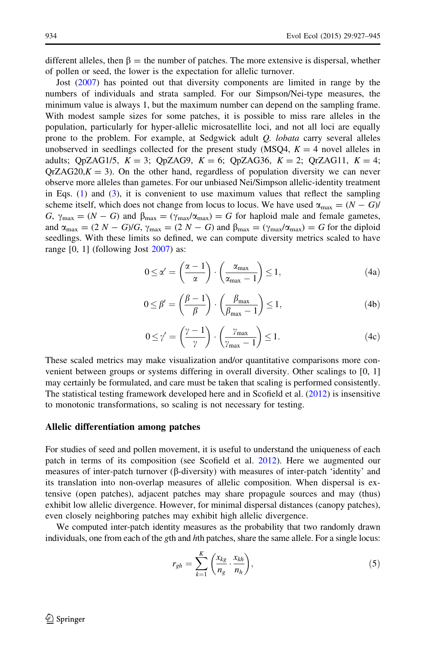different alleles, then  $\beta$  = the number of patches. The more extensive is dispersal, whether of pollen or seed, the lower is the expectation for allelic turnover.

Jost ([2007](#page-17-0)) has pointed out that diversity components are limited in range by the numbers of individuals and strata sampled. For our Simpson/Nei-type measures, the minimum value is always 1, but the maximum number can depend on the sampling frame. With modest sample sizes for some patches, it is possible to miss rare alleles in the population, particularly for hyper-allelic microsatellite loci, and not all loci are equally prone to the problem. For example, at Sedgwick adult Q. *lobata* carry several alleles unobserved in seedlings collected for the present study (MSQ4,  $K = 4$  novel alleles in adults; QpZAG1/5,  $K = 3$ ; QpZAG9,  $K = 6$ ; QpZAG36,  $K = 2$ ; QrZAG11,  $K = 4$ ;  $QrZAG20, K = 3$ ). On the other hand, regardless of population diversity we can never observe more alleles than gametes. For our unbiased Nei/Simpson allelic-identity treatment in Eqs. [\(1](#page-5-0)) and [\(3](#page-6-0)), it is convenient to use maximum values that reflect the sampling scheme itself, which does not change from locus to locus. We have used  $\alpha_{\text{max}} = (N - G)$ /  $G$ ,  $\gamma_{\text{max}} = (N - G)$  and  $\beta_{\text{max}} = (\gamma_{\text{max}}/\alpha_{\text{max}}) = G$  for haploid male and female gametes, and  $\alpha_{\text{max}} = (2 N - G)/G$ ,  $\gamma_{\text{max}} = (2 N - G)$  and  $\beta_{\text{max}} = (\gamma_{\text{max}}/\alpha_{\text{max}}) = G$  for the diploid seedlings. With these limits so defined, we can compute diversity metrics scaled to have range  $[0, 1]$  (following Jost  $2007$ ) as:

$$
0 \le \alpha' = \left(\frac{\alpha - 1}{\alpha}\right) \cdot \left(\frac{\alpha_{\max}}{\alpha_{\max} - 1}\right) \le 1,\tag{4a}
$$

$$
0 \le \beta' = \left(\frac{\beta - 1}{\beta}\right) \cdot \left(\frac{\beta_{\text{max}}}{\beta_{\text{max}} - 1}\right) \le 1,\tag{4b}
$$

$$
0 \le \gamma' = \left(\frac{\gamma - 1}{\gamma}\right) \cdot \left(\frac{\gamma_{\text{max}}}{\gamma_{\text{max}} - 1}\right) \le 1. \tag{4c}
$$

These scaled metrics may make visualization and/or quantitative comparisons more convenient between groups or systems differing in overall diversity. Other scalings to [0, 1] may certainly be formulated, and care must be taken that scaling is performed consistently. The statistical testing framework developed here and in Scofield et al. ([2012\)](#page-17-0) is insensitive to monotonic transformations, so scaling is not necessary for testing.

### Allelic differentiation among patches

For studies of seed and pollen movement, it is useful to understand the uniqueness of each patch in terms of its composition (see Scofield et al. [2012\)](#page-17-0). Here we augmented our measures of inter-patch turnover ( $\beta$ -diversity) with measures of inter-patch 'identity' and its translation into non-overlap measures of allelic composition. When dispersal is extensive (open patches), adjacent patches may share propagule sources and may (thus) exhibit low allelic divergence. However, for minimal dispersal distances (canopy patches), even closely neighboring patches may exhibit high allelic divergence.

We computed inter-patch identity measures as the probability that two randomly drawn individuals, one from each of the gth and hth patches, share the same allele. For a single locus:

$$
r_{gh} = \sum_{k=1}^{K} \left( \frac{x_{kg}}{n_g} \cdot \frac{x_{kh}}{n_h} \right),\tag{5}
$$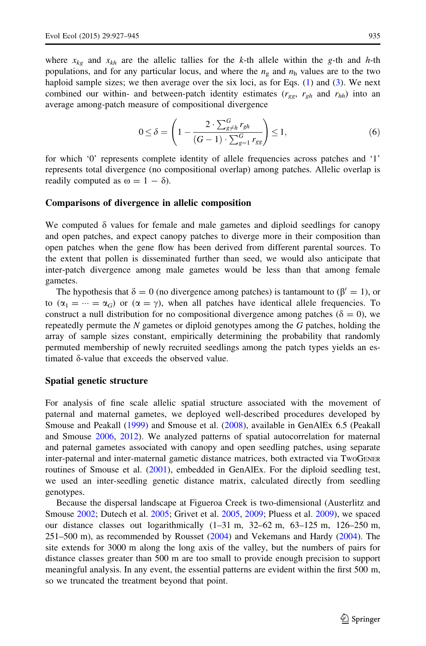where  $x_{k\rho}$  and  $x_{kh}$  are the allelic tallies for the k-th allele within the g-th and h-th populations, and for any particular locus, and where the  $n<sub>s</sub>$  and  $n<sub>h</sub>$  values are to the two haploid sample sizes; we then average over the six loci, as for Eqs.  $(1)$  $(1)$  $(1)$  and  $(3)$  $(3)$  $(3)$ . We next combined our within- and between-patch identity estimates  $(r_{\varrho\rho}, r_{\varrho h}$  and  $r_{hh})$  into an average among-patch measure of compositional divergence

$$
0 \leq \delta = \left(1 - \frac{2 \cdot \sum_{g \neq h}^{G} r_{gh}}{(G-1) \cdot \sum_{g=1}^{G} r_{gg}}\right) \leq 1, \tag{6}
$$

for which '0' represents complete identity of allele frequencies across patches and '1' represents total divergence (no compositional overlap) among patches. Allelic overlap is readily computed as  $\omega = 1 - \delta$ ).

#### Comparisons of divergence in allelic composition

We computed  $\delta$  values for female and male gametes and diploid seedlings for canopy and open patches, and expect canopy patches to diverge more in their composition than open patches when the gene flow has been derived from different parental sources. To the extent that pollen is disseminated further than seed, we would also anticipate that inter-patch divergence among male gametes would be less than that among female gametes.

The hypothesis that  $\delta = 0$  (no divergence among patches) is tantamount to  $(\beta' = 1)$ , or to  $(\alpha_1 = \cdots = \alpha_G)$  or  $(\alpha = \gamma)$ , when all patches have identical allele frequencies. To construct a null distribution for no compositional divergence among patches ( $\delta = 0$ ), we repeatedly permute the  $N$  gametes or diploid genotypes among the  $G$  patches, holding the array of sample sizes constant, empirically determining the probability that randomly permuted membership of newly recruited seedlings among the patch types yields an estimated  $\delta$ -value that exceeds the observed value.

#### Spatial genetic structure

For analysis of fine scale allelic spatial structure associated with the movement of paternal and maternal gametes, we deployed well-described procedures developed by Smouse and Peakall [\(1999\)](#page-18-0) and Smouse et al. ([2008\)](#page-18-0), available in GenAlEx 6.5 (Peakall and Smouse [2006](#page-17-0), [2012\)](#page-17-0). We analyzed patterns of spatial autocorrelation for maternal and paternal gametes associated with canopy and open seedling patches, using separate inter-paternal and inter-maternal gametic distance matrices, both extracted via TwoGENER routines of Smouse et al. ([2001\)](#page-18-0), embedded in GenAlEx. For the diploid seedling test, we used an inter-seedling genetic distance matrix, calculated directly from seedling genotypes.

Because the dispersal landscape at Figueroa Creek is two-dimensional (Austerlitz and Smouse [2002](#page-16-0); Dutech et al. [2005;](#page-16-0) Grivet et al. [2005,](#page-16-0) [2009;](#page-16-0) Pluess et al. [2009\)](#page-17-0), we spaced our distance classes out logarithmically  $(1-31 \text{ m}, 32-62 \text{ m}, 63-125 \text{ m}, 126-250 \text{ m},$ 251–500 m), as recommended by Rousset ([2004\)](#page-17-0) and Vekemans and Hardy [\(2004\)](#page-18-0). The site extends for 3000 m along the long axis of the valley, but the numbers of pairs for distance classes greater than 500 m are too small to provide enough precision to support meaningful analysis. In any event, the essential patterns are evident within the first 500 m, so we truncated the treatment beyond that point.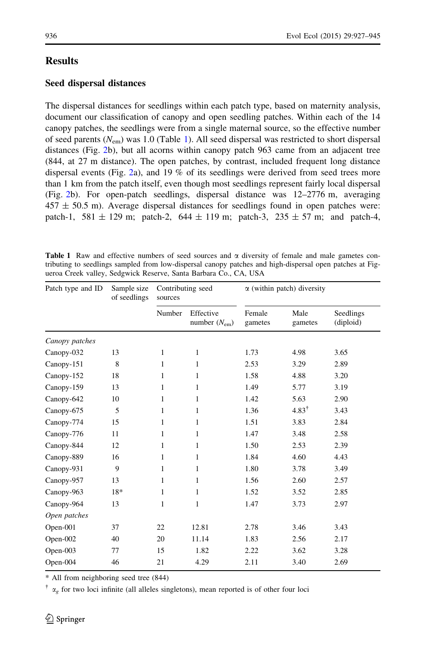# <span id="page-9-0"></span>Results

### Seed dispersal distances

The dispersal distances for seedlings within each patch type, based on maternity analysis, document our classification of canopy and open seedling patches. Within each of the 14 canopy patches, the seedlings were from a single maternal source, so the effective number of seed parents  $(N_{\rm em})$  was 1.0 (Table 1). All seed dispersal was restricted to short dispersal distances (Fig. [2](#page-10-0)b), but all acorns within canopy patch 963 came from an adjacent tree (844, at 27 m distance). The open patches, by contrast, included frequent long distance dispersal events (Fig. [2a](#page-10-0)), and 19 % of its seedlings were derived from seed trees more than 1 km from the patch itself, even though most seedlings represent fairly local dispersal (Fig. [2b](#page-10-0)). For open-patch seedlings, dispersal distance was 12–2776 m, averaging  $457 \pm 50.5$  m). Average dispersal distances for seedlings found in open patches were: patch-1, 581  $\pm$  129 m; patch-2, 644  $\pm$  119 m; patch-3, 235  $\pm$  57 m; and patch-4,

**Table 1** Raw and effective numbers of seed sources and  $\alpha$  diversity of female and male gametes contributing to seedlings sampled from low-dispersal canopy patches and high-dispersal open patches at Figueroa Creek valley, Sedgwick Reserve, Santa Barbara Co., CA, USA

| Patch type and ID | Sample size<br>of seedlings | Contributing seed<br>sources |                                    | $\alpha$ (within patch) diversity |                  |                        |
|-------------------|-----------------------------|------------------------------|------------------------------------|-----------------------------------|------------------|------------------------|
|                   |                             | Number                       | Effective<br>number $(N_{\rm em})$ | Female<br>gametes                 | Male<br>gametes  | Seedlings<br>(diploid) |
| Canopy patches    |                             |                              |                                    |                                   |                  |                        |
| Canopy-032        | 13                          | $\mathbf{1}$                 | 1                                  | 1.73                              | 4.98             | 3.65                   |
| Canopy-151        | 8                           | 1                            | 1                                  | 2.53                              | 3.29             | 2.89                   |
| Canopy-152        | 18                          | 1                            | 1                                  | 1.58                              | 4.88             | 3.20                   |
| Canopy-159        | 13                          | 1                            | 1                                  | 1.49                              | 5.77             | 3.19                   |
| Canopy-642        | 10                          | 1                            | 1                                  | 1.42                              | 5.63             | 2.90                   |
| Canopy-675        | 5                           | 1                            | 1                                  | 1.36                              | $4.83^{\dagger}$ | 3.43                   |
| Canopy-774        | 15                          | 1                            | 1                                  | 1.51                              | 3.83             | 2.84                   |
| Canopy-776        | 11                          | 1                            | 1                                  | 1.47                              | 3.48             | 2.58                   |
| Canopy-844        | 12                          | 1                            | 1                                  | 1.50                              | 2.53             | 2.39                   |
| Canopy-889        | 16                          | 1                            | 1                                  | 1.84                              | 4.60             | 4.43                   |
| Canopy-931        | 9                           | 1                            | 1                                  | 1.80                              | 3.78             | 3.49                   |
| Canopy-957        | 13                          | 1                            | 1                                  | 1.56                              | 2.60             | 2.57                   |
| Canopy-963        | 18*                         | 1                            | 1                                  | 1.52                              | 3.52             | 2.85                   |
| Canopy-964        | 13                          | $\mathbf{1}$                 | 1                                  | 1.47                              | 3.73             | 2.97                   |
| Open patches      |                             |                              |                                    |                                   |                  |                        |
| Open-001          | 37                          | 22                           | 12.81                              | 2.78                              | 3.46             | 3.43                   |
| Open-002          | 40                          | 20                           | 11.14                              | 1.83                              | 2.56             | 2.17                   |
| Open-003          | 77                          | 15                           | 1.82                               | 2.22                              | 3.62             | 3.28                   |
| Open-004          | 46                          | 21                           | 4.29                               | 2.11                              | 3.40             | 2.69                   |

\* All from neighboring seed tree (844)

 $\dagger$   $\alpha_g$  for two loci infinite (all alleles singletons), mean reported is of other four loci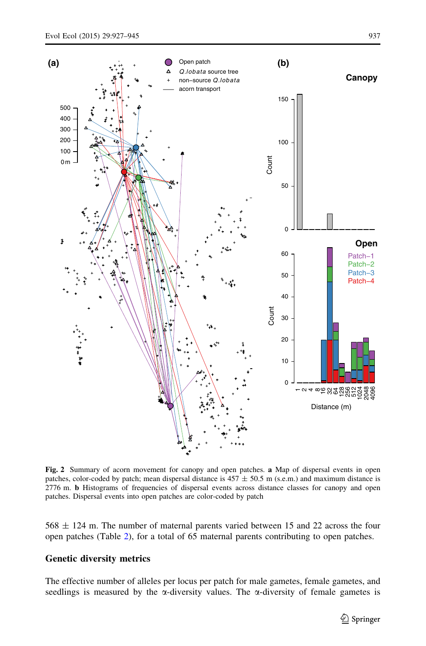<span id="page-10-0"></span>

Fig. 2 Summary of acorn movement for canopy and open patches. a Map of dispersal events in open patches, color-coded by patch; mean dispersal distance is  $457 \pm 50.5$  m (s.e.m.) and maximum distance is 2776 m. b Histograms of frequencies of dispersal events across distance classes for canopy and open patches. Dispersal events into open patches are color-coded by patch

 $568 \pm 124$  m. The number of maternal parents varied between 15 and 22 across the four open patches (Table [2\)](#page-11-0), for a total of 65 maternal parents contributing to open patches.

### Genetic diversity metrics

The effective number of alleles per locus per patch for male gametes, female gametes, and seedlings is measured by the  $\alpha$ -diversity values. The  $\alpha$ -diversity of female gametes is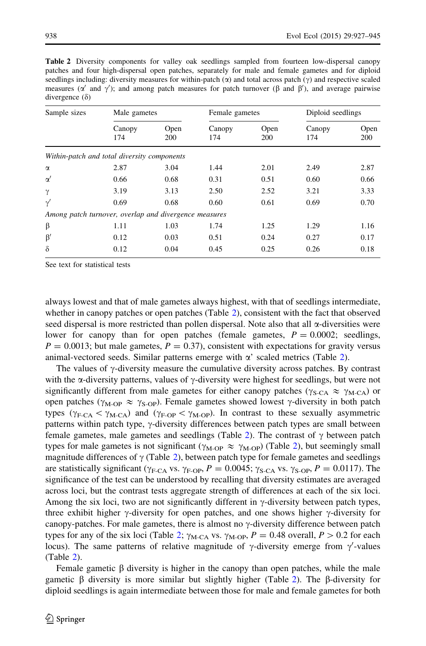| Sample sizes                                          | Male gametes  |             | Female gametes |             | Diploid seedlings |             |
|-------------------------------------------------------|---------------|-------------|----------------|-------------|-------------------|-------------|
|                                                       | Canopy<br>174 | Open<br>200 | Canopy<br>174  | Open<br>200 | Canopy<br>174     | Open<br>200 |
| Within-patch and total diversity components           |               |             |                |             |                   |             |
| $\alpha$                                              | 2.87          | 3.04        | 1.44           | 2.01        | 2.49              | 2.87        |
| $\alpha'$                                             | 0.66          | 0.68        | 0.31           | 0.51        | 0.60              | 0.66        |
| $\gamma$                                              | 3.19          | 3.13        | 2.50           | 2.52        | 3.21              | 3.33        |
| $\gamma'$                                             | 0.69          | 0.68        | 0.60           | 0.61        | 0.69              | 0.70        |
| Among patch turnover, overlap and divergence measures |               |             |                |             |                   |             |
| β                                                     | 1.11          | 1.03        | 1.74           | 1.25        | 1.29              | 1.16        |
| $\beta'$                                              | 0.12          | 0.03        | 0.51           | 0.24        | 0.27              | 0.17        |
| δ                                                     | 0.12          | 0.04        | 0.45           | 0.25        | 0.26              | 0.18        |

<span id="page-11-0"></span>Table 2 Diversity components for valley oak seedlings sampled from fourteen low-dispersal canopy patches and four high-dispersal open patches, separately for male and female gametes and for diploid seedlings including: diversity measures for within-patch  $(\alpha)$  and total across patch  $(\gamma)$  and respective scaled measures ( $\alpha'$  and  $\gamma'$ ); and among patch measures for patch turnover ( $\beta$  and  $\beta'$ ), and average pairwise divergence  $(\delta)$ 

See text for statistical tests

always lowest and that of male gametes always highest, with that of seedlings intermediate, whether in canopy patches or open patches (Table 2), consistent with the fact that observed seed dispersal is more restricted than pollen dispersal. Note also that all  $\alpha$ -diversities were lower for canopy than for open patches (female gametes,  $P = 0.0002$ ; seedlings,  $P = 0.0013$ ; but male gametes,  $P = 0.37$ ), consistent with expectations for gravity versus animal-vectored seeds. Similar patterns emerge with  $\alpha'$  scaled metrics (Table 2).

The values of  $\gamma$ -diversity measure the cumulative diversity across patches. By contrast with the  $\alpha$ -diversity patterns, values of  $\gamma$ -diversity were highest for seedlings, but were not significantly different from male gametes for either canopy patches ( $\gamma_{S-CA} \approx \gamma_{M-CA}$ ) or open patches ( $\gamma_{\text{M-OP}} \approx \gamma_{\text{S-OP}}$ ). Female gametes showed lowest  $\gamma$ -diversity in both patch types ( $\gamma_{\text{F-CA}} < \gamma_{\text{M-CA}}$ ) and ( $\gamma_{\text{F-OP}} < \gamma_{\text{M-OP}}$ ). In contrast to these sexually asymmetric patterns within patch type,  $\gamma$ -diversity differences between patch types are small between female gametes, male gametes and seedlings (Table 2). The contrast of  $\gamma$  between patch types for male gametes is not significant ( $\gamma_{\text{M-OP}} \approx \gamma_{\text{M-OP}}$ ) (Table 2), but seemingly small magnitude differences of  $\gamma$  (Table 2), between patch type for female gametes and seedlings are statistically significant ( $\gamma_{\text{F-CA}}$  vs.  $\gamma_{\text{F-OP}}$ ,  $P = 0.0045$ ;  $\gamma_{\text{S-CA}}$  vs.  $\gamma_{\text{S-OP}}$ ,  $P = 0.0117$ ). The significance of the test can be understood by recalling that diversity estimates are averaged across loci, but the contrast tests aggregate strength of differences at each of the six loci. Among the six loci, two are not significantly different in  $\gamma$ -diversity between patch types, three exhibit higher  $\gamma$ -diversity for open patches, and one shows higher  $\gamma$ -diversity for canopy-patches. For male gametes, there is almost no  $\gamma$ -diversity difference between patch types for any of the six loci (Table 2;  $\gamma_{\text{M-CA}}$  vs.  $\gamma_{\text{M-OP}}$ ,  $P = 0.48$  overall,  $P > 0.2$  for each locus). The same patterns of relative magnitude of  $\gamma$ -diversity emerge from  $\gamma'$ -values (Table 2).

Female gametic  $\beta$  diversity is higher in the canopy than open patches, while the male gametic  $\beta$  diversity is more similar but slightly higher (Table 2). The  $\beta$ -diversity for diploid seedlings is again intermediate between those for male and female gametes for both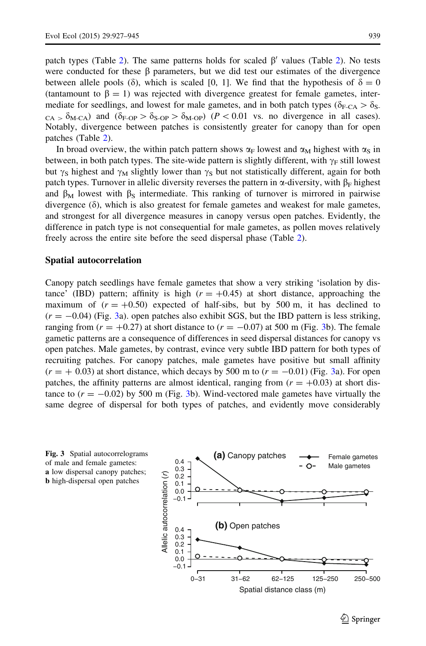patch types (Table [2\)](#page-11-0). The same patterns holds for scaled  $\beta'$  values (Table [2](#page-11-0)). No tests were conducted for these  $\beta$  parameters, but we did test our estimates of the divergence between allele pools ( $\delta$ ), which is scaled [0, 1]. We find that the hypothesis of  $\delta = 0$ (tantamount to  $\beta = 1$ ) was rejected with divergence greatest for female gametes, intermediate for seedlings, and lowest for male gametes, and in both patch types ( $\delta_{\text{F-CA}} > \delta_{\text{S-}}$  $_{\text{CA}} > \delta_{\text{M-CA}}$ ) and  $(\delta_{\text{F-OP}} > \delta_{\text{S-OP}} > \delta_{\text{M-OP}})$  ( $P < 0.01$  vs. no divergence in all cases). Notably, divergence between patches is consistently greater for canopy than for open patches (Table [2](#page-11-0)).

In broad overview, the within patch pattern shows  $\alpha_F$  lowest and  $\alpha_M$  highest with  $\alpha_S$  in between, in both patch types. The site-wide pattern is slightly different, with  $\gamma_F$  still lowest but  $\gamma_s$  highest and  $\gamma_M$  slightly lower than  $\gamma_s$  but not statistically different, again for both patch types. Turnover in allelic diversity reverses the pattern in  $\alpha$ -diversity, with  $\beta_F$  highest and  $\beta_M$  lowest with  $\beta_S$  intermediate. This ranking of turnover is mirrored in pairwise divergence  $(\delta)$ , which is also greatest for female gametes and weakest for male gametes, and strongest for all divergence measures in canopy versus open patches. Evidently, the difference in patch type is not consequential for male gametes, as pollen moves relatively freely across the entire site before the seed dispersal phase (Table [2](#page-11-0)).

#### Spatial autocorrelation

Canopy patch seedlings have female gametes that show a very striking 'isolation by distance' (IBD) pattern; affinity is high  $(r = +0.45)$  at short distance, approaching the maximum of  $(r = +0.50)$  expected of half-sibs, but by 500 m, it has declined to  $(r = -0.04)$  (Fig. 3a). open patches also exhibit SGS, but the IBD pattern is less striking, ranging from  $(r = +0.27)$  at short distance to  $(r = -0.07)$  at 500 m (Fig. 3b). The female gametic patterns are a consequence of differences in seed dispersal distances for canopy vs open patches. Male gametes, by contrast, evince very subtle IBD pattern for both types of recruiting patches. For canopy patches, male gametes have positive but small affinity  $(r = +0.03)$  at short distance, which decays by 500 m to  $(r = -0.01)$  (Fig. 3a). For open patches, the affinity patterns are almost identical, ranging from  $(r = +0.03)$  at short distance to  $(r = -0.02)$  by 500 m (Fig. 3b). Wind-vectored male gametes have virtually the same degree of dispersal for both types of patches, and evidently move considerably



 $\mathcal{L}$  Springer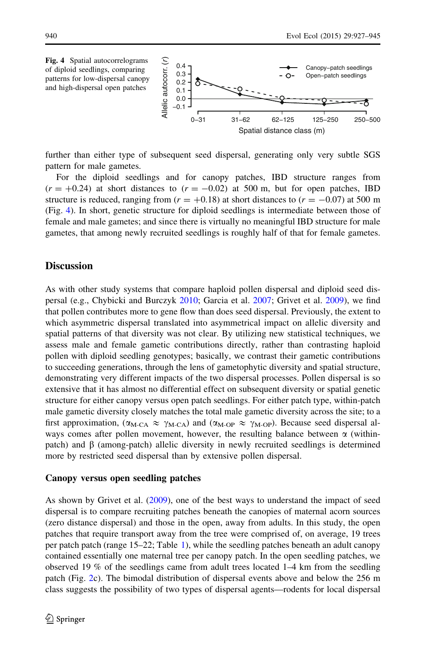

further than either type of subsequent seed dispersal, generating only very subtle SGS pattern for male gametes.

For the diploid seedlings and for canopy patches, IBD structure ranges from  $(r = +0.24)$  at short distances to  $(r = -0.02)$  at 500 m, but for open patches, IBD structure is reduced, ranging from  $(r = +0.18)$  at short distances to  $(r = -0.07)$  at 500 m (Fig. 4). In short, genetic structure for diploid seedlings is intermediate between those of female and male gametes; and since there is virtually no meaningful IBD structure for male gametes, that among newly recruited seedlings is roughly half of that for female gametes.

# **Discussion**

As with other study systems that compare haploid pollen dispersal and diploid seed dispersal (e.g., Chybicki and Burczyk [2010](#page-16-0); Garcia et al. [2007](#page-16-0); Grivet et al. [2009\)](#page-16-0), we find that pollen contributes more to gene flow than does seed dispersal. Previously, the extent to which asymmetric dispersal translated into asymmetrical impact on allelic diversity and spatial patterns of that diversity was not clear. By utilizing new statistical techniques, we assess male and female gametic contributions directly, rather than contrasting haploid pollen with diploid seedling genotypes; basically, we contrast their gametic contributions to succeeding generations, through the lens of gametophytic diversity and spatial structure, demonstrating very different impacts of the two dispersal processes. Pollen dispersal is so extensive that it has almost no differential effect on subsequent diversity or spatial genetic structure for either canopy versus open patch seedlings. For either patch type, within-patch male gametic diversity closely matches the total male gametic diversity across the site; to a first approximation,  $(\alpha_{\text{M-CA}} \approx \gamma_{\text{M-CA}})$  and  $(\alpha_{\text{M-OP}} \approx \gamma_{\text{M-OP}})$ . Because seed dispersal always comes after pollen movement, however, the resulting balance between  $\alpha$  (withinpatch) and  $\beta$  (among-patch) allelic diversity in newly recruited seedlings is determined more by restricted seed dispersal than by extensive pollen dispersal.

### Canopy versus open seedling patches

As shown by Grivet et al. ([2009\)](#page-16-0), one of the best ways to understand the impact of seed dispersal is to compare recruiting patches beneath the canopies of maternal acorn sources (zero distance dispersal) and those in the open, away from adults. In this study, the open patches that require transport away from the tree were comprised of, on average, 19 trees per patch patch (range 15–22; Table [1](#page-9-0)), while the seedling patches beneath an adult canopy contained essentially one maternal tree per canopy patch. In the open seedling patches, we observed 19 % of the seedlings came from adult trees located  $1-4$  km from the seedling patch (Fig. [2c](#page-10-0)). The bimodal distribution of dispersal events above and below the 256 m class suggests the possibility of two types of dispersal agents—rodents for local dispersal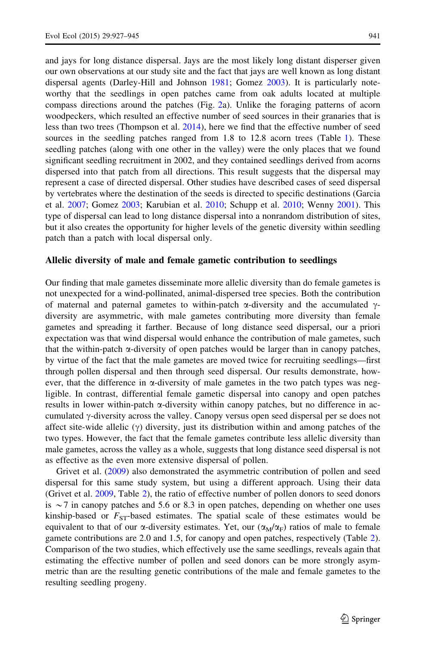and jays for long distance dispersal. Jays are the most likely long distant disperser given our own observations at our study site and the fact that jays are well known as long distant dispersal agents (Darley-Hill and Johnson [1981;](#page-16-0) Gomez [2003](#page-16-0)). It is particularly noteworthy that the seedlings in open patches came from oak adults located at multiple compass directions around the patches (Fig. [2a](#page-10-0)). Unlike the foraging patterns of acorn woodpeckers, which resulted an effective number of seed sources in their granaries that is less than two trees (Thompson et al. [2014](#page-18-0)), here we find that the effective number of seed sources in the seedling patches ranged from 1.8 to 12.8 acorn trees (Table [1\)](#page-9-0). These seedling patches (along with one other in the valley) were the only places that we found significant seedling recruitment in 2002, and they contained seedlings derived from acorns dispersed into that patch from all directions. This result suggests that the dispersal may represent a case of directed dispersal. Other studies have described cases of seed dispersal by vertebrates where the destination of the seeds is directed to specific destinations (Garcia et al. [2007;](#page-16-0) Gomez [2003;](#page-16-0) Karubian et al. [2010](#page-17-0); Schupp et al. [2010](#page-17-0); Wenny [2001\)](#page-18-0). This type of dispersal can lead to long distance dispersal into a nonrandom distribution of sites, but it also creates the opportunity for higher levels of the genetic diversity within seedling patch than a patch with local dispersal only.

### Allelic diversity of male and female gametic contribution to seedlings

Our finding that male gametes disseminate more allelic diversity than do female gametes is not unexpected for a wind-pollinated, animal-dispersed tree species. Both the contribution of maternal and paternal gametes to within-patch  $\alpha$ -diversity and the accumulated  $\gamma$ diversity are asymmetric, with male gametes contributing more diversity than female gametes and spreading it farther. Because of long distance seed dispersal, our a priori expectation was that wind dispersal would enhance the contribution of male gametes, such that the within-patch  $\alpha$ -diversity of open patches would be larger than in canopy patches, by virtue of the fact that the male gametes are moved twice for recruiting seedlings—first through pollen dispersal and then through seed dispersal. Our results demonstrate, however, that the difference in a-diversity of male gametes in the two patch types was negligible. In contrast, differential female gametic dispersal into canopy and open patches results in lower within-patch a-diversity within canopy patches, but no difference in accumulated  $\gamma$ -diversity across the valley. Canopy versus open seed dispersal per se does not affect site-wide allelic  $(\gamma)$  diversity, just its distribution within and among patches of the two types. However, the fact that the female gametes contribute less allelic diversity than male gametes, across the valley as a whole, suggests that long distance seed dispersal is not as effective as the even more extensive dispersal of pollen.

Grivet et al. [\(2009](#page-16-0)) also demonstrated the asymmetric contribution of pollen and seed dispersal for this same study system, but using a different approach. Using their data (Grivet et al. [2009](#page-16-0), Table [2\)](#page-11-0), the ratio of effective number of pollen donors to seed donors is  $\sim$ 7 in canopy patches and 5.6 or 8.3 in open patches, depending on whether one uses kinship-based or  $F_{ST}$ -based estimates. The spatial scale of these estimates would be equivalent to that of our  $\alpha$ -diversity estimates. Yet, our  $(\alpha_M/\alpha_F)$  ratios of male to female gamete contributions are 2.0 and 1.5, for canopy and open patches, respectively (Table [2](#page-11-0)). Comparison of the two studies, which effectively use the same seedlings, reveals again that estimating the effective number of pollen and seed donors can be more strongly asymmetric than are the resulting genetic contributions of the male and female gametes to the resulting seedling progeny.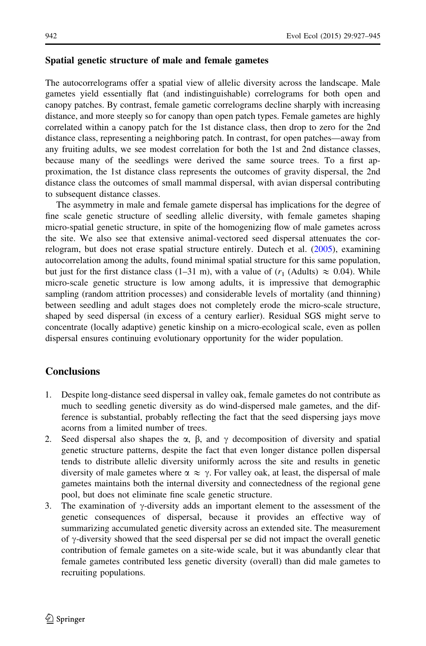### Spatial genetic structure of male and female gametes

The autocorrelograms offer a spatial view of allelic diversity across the landscape. Male gametes yield essentially flat (and indistinguishable) correlograms for both open and canopy patches. By contrast, female gametic correlograms decline sharply with increasing distance, and more steeply so for canopy than open patch types. Female gametes are highly correlated within a canopy patch for the 1st distance class, then drop to zero for the 2nd distance class, representing a neighboring patch. In contrast, for open patches—away from any fruiting adults, we see modest correlation for both the 1st and 2nd distance classes, because many of the seedlings were derived the same source trees. To a first approximation, the 1st distance class represents the outcomes of gravity dispersal, the 2nd distance class the outcomes of small mammal dispersal, with avian dispersal contributing to subsequent distance classes.

The asymmetry in male and female gamete dispersal has implications for the degree of fine scale genetic structure of seedling allelic diversity, with female gametes shaping micro-spatial genetic structure, in spite of the homogenizing flow of male gametes across the site. We also see that extensive animal-vectored seed dispersal attenuates the correlogram, but does not erase spatial structure entirely. Dutech et al. [\(2005](#page-16-0)), examining autocorrelation among the adults, found minimal spatial structure for this same population, but just for the first distance class (1–31 m), with a value of  $(r_1$  (Adults)  $\approx 0.04$ ). While micro-scale genetic structure is low among adults, it is impressive that demographic sampling (random attrition processes) and considerable levels of mortality (and thinning) between seedling and adult stages does not completely erode the micro-scale structure, shaped by seed dispersal (in excess of a century earlier). Residual SGS might serve to concentrate (locally adaptive) genetic kinship on a micro-ecological scale, even as pollen dispersal ensures continuing evolutionary opportunity for the wider population.

# **Conclusions**

- 1. Despite long-distance seed dispersal in valley oak, female gametes do not contribute as much to seedling genetic diversity as do wind-dispersed male gametes, and the difference is substantial, probably reflecting the fact that the seed dispersing jays move acorns from a limited number of trees.
- 2. Seed dispersal also shapes the  $\alpha$ ,  $\beta$ , and  $\gamma$  decomposition of diversity and spatial genetic structure patterns, despite the fact that even longer distance pollen dispersal tends to distribute allelic diversity uniformly across the site and results in genetic diversity of male gametes where  $\alpha \approx \gamma$ . For valley oak, at least, the dispersal of male gametes maintains both the internal diversity and connectedness of the regional gene pool, but does not eliminate fine scale genetic structure.
- 3. The examination of  $\gamma$ -diversity adds an important element to the assessment of the genetic consequences of dispersal, because it provides an effective way of summarizing accumulated genetic diversity across an extended site. The measurement of  $\gamma$ -diversity showed that the seed dispersal per se did not impact the overall genetic contribution of female gametes on a site-wide scale, but it was abundantly clear that female gametes contributed less genetic diversity (overall) than did male gametes to recruiting populations.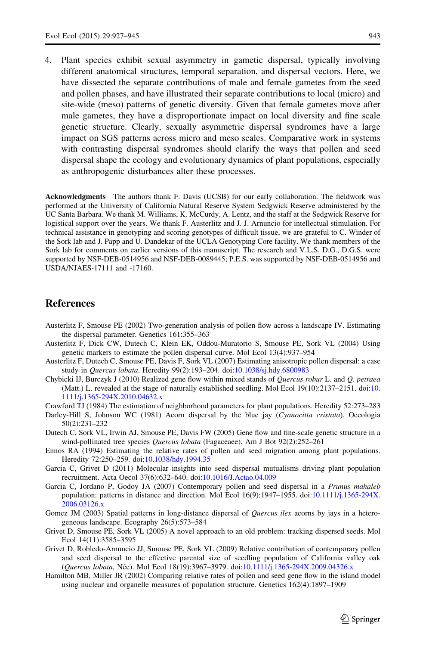<span id="page-16-0"></span>4. Plant species exhibit sexual asymmetry in gametic dispersal, typically involving different anatomical structures, temporal separation, and dispersal vectors. Here, we have dissected the separate contributions of male and female gametes from the seed and pollen phases, and have illustrated their separate contributions to local (micro) and site-wide (meso) patterns of genetic diversity. Given that female gametes move after male gametes, they have a disproportionate impact on local diversity and fine scale genetic structure. Clearly, sexually asymmetric dispersal syndromes have a large impact on SGS patterns across micro and meso scales. Comparative work in systems with contrasting dispersal syndromes should clarify the ways that pollen and seed dispersal shape the ecology and evolutionary dynamics of plant populations, especially as anthropogenic disturbances alter these processes.

Acknowledgments The authors thank F. Davis (UCSB) for our early collaboration. The fieldwork was performed at the University of California Natural Reserve System Sedgwick Reserve administered by the UC Santa Barbara. We thank M. Williams, K. McCurdy, A. Lentz, and the staff at the Sedgwick Reserve for logistical support over the years. We thank F. Austerlitz and J. J. Arnuncio for intellectual stimulation. For technical assistance in genotyping and scoring genotypes of difficult tissue, we are grateful to C. Winder of the Sork lab and J. Papp and U. Dandekar of the UCLA Genotyping Core facility. We thank members of the Sork lab for comments on earlier versions of this manuscript. The research and V.L.S, D.G., D.G.S. were supported by NSF-DEB-0514956 and NSF-DEB-0089445; P.E.S. was supported by NSF-DEB-0514956 and USDA/NJAES-17111 and -17160.

### References

- Austerlitz F, Smouse PE (2002) Two-generation analysis of pollen flow across a landscape IV. Estimating the dispersal parameter. Genetics 161:355–363
- Austerlitz F, Dick CW, Dutech C, Klein EK, Oddou-Muratorio S, Smouse PE, Sork VL (2004) Using genetic markers to estimate the pollen dispersal curve. Mol Ecol 13(4):937–954
- Austerlitz F, Dutech C, Smouse PE, Davis F, Sork VL (2007) Estimating anisotropic pollen dispersal: a case study in Quercus lobata. Heredity 99(2):193–204. doi[:10.1038/sj.hdy.6800983](http://dx.doi.org/10.1038/sj.hdy.6800983)
- Chybicki IJ, Burczyk J (2010) Realized gene flow within mixed stands of Quercus robur L. and Q. petraea (Matt.) L. revealed at the stage of naturally established seedling. Mol Ecol 19(10):2137–2151. doi:[10.](http://dx.doi.org/10.1111/j.1365-294X.2010.04632.x) [1111/j.1365-294X.2010.04632.x](http://dx.doi.org/10.1111/j.1365-294X.2010.04632.x)
- Crawford TJ (1984) The estimation of neighborhood parameters for plant populations. Heredity 52:273–283
- Darley-Hill S, Johnson WC (1981) Acorn dispersal by the blue jay (Cyanocitta cristata). Oecologia 50(2):231–232
- Dutech C, Sork VL, Irwin AJ, Smouse PE, Davis FW (2005) Gene flow and fine-scale genetic structure in a wind-pollinated tree species Quercus lobata (Fagaceaee). Am J Bot 92(2):252-261
- Ennos RA (1994) Estimating the relative rates of pollen and seed migration among plant populations. Heredity 72:250–259. doi[:10.1038/hdy.1994.35](http://dx.doi.org/10.1038/hdy.1994.35)
- Garcia C, Grivet D (2011) Molecular insights into seed dispersal mutualisms driving plant population recruitment. Acta Oecol 37(6):632–640. doi[:10.1016/J.Actao.04.009](http://dx.doi.org/10.1016/J.Actao.04.009)
- Garcia C, Jordano P, Godoy JA (2007) Contemporary pollen and seed dispersal in a Prunus mahaleb population: patterns in distance and direction. Mol Ecol 16(9):1947–1955. doi[:10.1111/j.1365-294X.](http://dx.doi.org/10.1111/j.1365-294X.2006.03126.x) [2006.03126.x](http://dx.doi.org/10.1111/j.1365-294X.2006.03126.x)
- Gomez JM (2003) Spatial patterns in long-distance dispersal of *Quercus ilex* acorns by jays in a heterogeneous landscape. Ecography 26(5):573–584
- Grivet D, Smouse PE, Sork VL (2005) A novel approach to an old problem: tracking dispersed seeds. Mol Ecol 14(11):3585–3595
- Grivet D, Robledo-Arnuncio JJ, Smouse PE, Sork VL (2009) Relative contribution of contemporary pollen and seed dispersal to the effective parental size of seedling population of California valley oak (Quercus lobata, Née). Mol Ecol 18(19):3967-3979. doi:[10.1111/j.1365-294X.2009.04326.x](http://dx.doi.org/10.1111/j.1365-294X.2009.04326.x)
- Hamilton MB, Miller JR (2002) Comparing relative rates of pollen and seed gene flow in the island model using nuclear and organelle measures of population structure. Genetics 162(4):1897–1909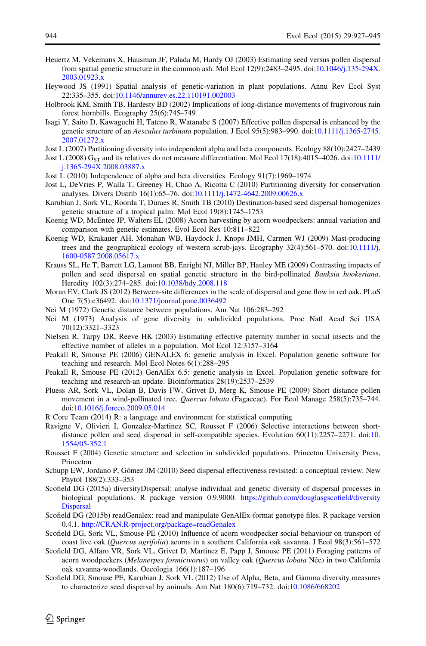- <span id="page-17-0"></span>Heuertz M, Vekemans X, Hausman JF, Palada M, Hardy OJ (2003) Estimating seed versus pollen dispersal from spatial genetic structure in the common ash. Mol Ecol 12(9):2483–2495. doi[:10.1046/j.135-294X.](http://dx.doi.org/10.1046/j.135-294X.2003.01923.x) [2003.01923.x](http://dx.doi.org/10.1046/j.135-294X.2003.01923.x)
- Heywood JS (1991) Spatial analysis of genetic-variation in plant populations. Annu Rev Ecol Syst 22:335–355. doi:[10.1146/annurev.es.22.110191.002003](http://dx.doi.org/10.1146/annurev.es.22.110191.002003)
- Holbrook KM, Smith TB, Hardesty BD (2002) Implications of long-distance movements of frugivorous rain forest hornbills. Ecography 25(6):745–749
- Isagi Y, Saito D, Kawaguchi H, Tateno R, Watanabe S (2007) Effective pollen dispersal is enhanced by the genetic structure of an Aesculus turbinata population. J Ecol 95(5):983–990. doi:[10.1111/j.1365-2745.](http://dx.doi.org/10.1111/j.1365-2745.2007.01272.x) [2007.01272.x](http://dx.doi.org/10.1111/j.1365-2745.2007.01272.x)
- Jost L (2007) Partitioning diversity into independent alpha and beta components. Ecology 88(10):2427–2439
- Jost L (2008)  $G_{ST}$  and its relatives do not measure differentiation. Mol Ecol 17(18):4015–4026. doi:[10.1111/](http://dx.doi.org/10.1111/j.1365-294X.2008.03887.x) [j.1365-294X.2008.03887.x](http://dx.doi.org/10.1111/j.1365-294X.2008.03887.x)
- Jost L (2010) Independence of alpha and beta diversities. Ecology 91(7):1969–1974
- Jost L, DeVries P, Walla T, Greeney H, Chao A, Ricotta C (2010) Partitioning diversity for conservation analyses. Divers Distrib 16(1):65–76. doi[:10.1111/j.1472-4642.2009.00626.x](http://dx.doi.org/10.1111/j.1472-4642.2009.00626.x)
- Karubian J, Sork VL, Roorda T, Duraes R, Smith TB (2010) Destination-based seed dispersal homogenizes genetic structure of a tropical palm. Mol Ecol 19(8):1745–1753
- Koenig WD, McEntee JP, Walters EL (2008) Acorn harvesting by acorn woodpeckers: annual variation and comparison with genetic estimates. Evol Ecol Res 10:811–822
- Koenig WD, Krakauer AH, Monahan WB, Haydock J, Knops JMH, Carmen WJ (2009) Mast-producing trees and the geographical ecology of western scrub-jays. Ecography 32(4):561–570. doi[:10.1111/j.](http://dx.doi.org/10.1111/j.1600-0587.2008.05617.x) [1600-0587.2008.05617.x](http://dx.doi.org/10.1111/j.1600-0587.2008.05617.x)
- Krauss SL, He T, Barrett LG, Lamont BB, Enright NJ, Miller BP, Hanley ME (2009) Contrasting impacts of pollen and seed dispersal on spatial genetic structure in the bird-pollinated Banksia hookeriana. Heredity 102(3):274–285. doi:[10.1038/hdy.2008.118](http://dx.doi.org/10.1038/hdy.2008.118)
- Moran EV, Clark JS (2012) Between-site differences in the scale of dispersal and gene flow in red oak. PLoS One 7(5):e36492. doi:[10.1371/journal.pone.0036492](http://dx.doi.org/10.1371/journal.pone.0036492)
- Nei M (1972) Genetic distance between populations. Am Nat 106:283–292
- Nei M (1973) Analysis of gene diversity in subdivided populations. Proc Natl Acad Sci USA 70(12):3321–3323
- Nielsen R, Tarpy DR, Reeve HK (2003) Estimating effective paternity number in social insects and the effective number of alleles in a population. Mol Ecol 12:3157–3164
- Peakall R, Smouse PE (2006) GENALEX 6: genetic analysis in Excel. Population genetic software for teaching and research. Mol Ecol Notes 6(1):288–295
- Peakall R, Smouse PE (2012) GenAlEx 6.5: genetic analysis in Excel. Population genetic software for teaching and research-an update. Bioinformatics 28(19):2537–2539
- Pluess AR, Sork VL, Dolan B, Davis FW, Grivet D, Merg K, Smouse PE (2009) Short distance pollen movement in a wind-pollinated tree, Quercus lobata (Fagaceae). For Ecol Manage 258(5):735-744. doi[:10.1016/j.foreco.2009.05.014](http://dx.doi.org/10.1016/j.foreco.2009.05.014)
- R Core Team (2014) R: a language and environment for statistical computing
- Ravigne V, Olivieri I, Gonzalez-Martinez SC, Rousset F (2006) Selective interactions between shortdistance pollen and seed dispersal in self-compatible species. Evolution 60(11):2257–2271. doi:[10.](http://dx.doi.org/10.1554/05-352.1) [1554/05-352.1](http://dx.doi.org/10.1554/05-352.1)
- Rousset F (2004) Genetic structure and selection in subdivided populations. Princeton University Press, Princeton
- Schupp EW, Jordano P, Gómez JM (2010) Seed dispersal effectiveness revisited: a conceptual review. New Phytol 188(2):333–353
- Scofield DG (2015a) diversityDispersal: analyse individual and genetic diversity of dispersal processes in biological populations. R package version 0.9.9000. [https://github.com/douglasgscofield/diversity](https://github.com/douglasgscofield/diversityDispersal) [Dispersal](https://github.com/douglasgscofield/diversityDispersal)
- Scofield DG (2015b) readGenalex: read and manipulate GenAlEx-format genotype files. R package version 0.4.1. <http://CRAN.R-project.org/package=readGenalex>
- Scofield DG, Sork VL, Smouse PE (2010) Influence of acorn woodpecker social behaviour on transport of coast live oak (Quercus agrifolia) acorns in a southern California oak savanna. J Ecol 98(3):561–572
- Scofield DG, Alfaro VR, Sork VL, Grivet D, Martinez E, Papp J, Smouse PE (2011) Foraging patterns of acorn woodpeckers (Melanerpes formicivorus) on valley oak (Quercus lobata Née) in two California oak savanna-woodlands. Oecologia 166(1):187–196
- Scofield DG, Smouse PE, Karubian J, Sork VL (2012) Use of Alpha, Beta, and Gamma diversity measures to characterize seed dispersal by animals. Am Nat 180(6):719–732. doi:[10.1086/668202](http://dx.doi.org/10.1086/668202)